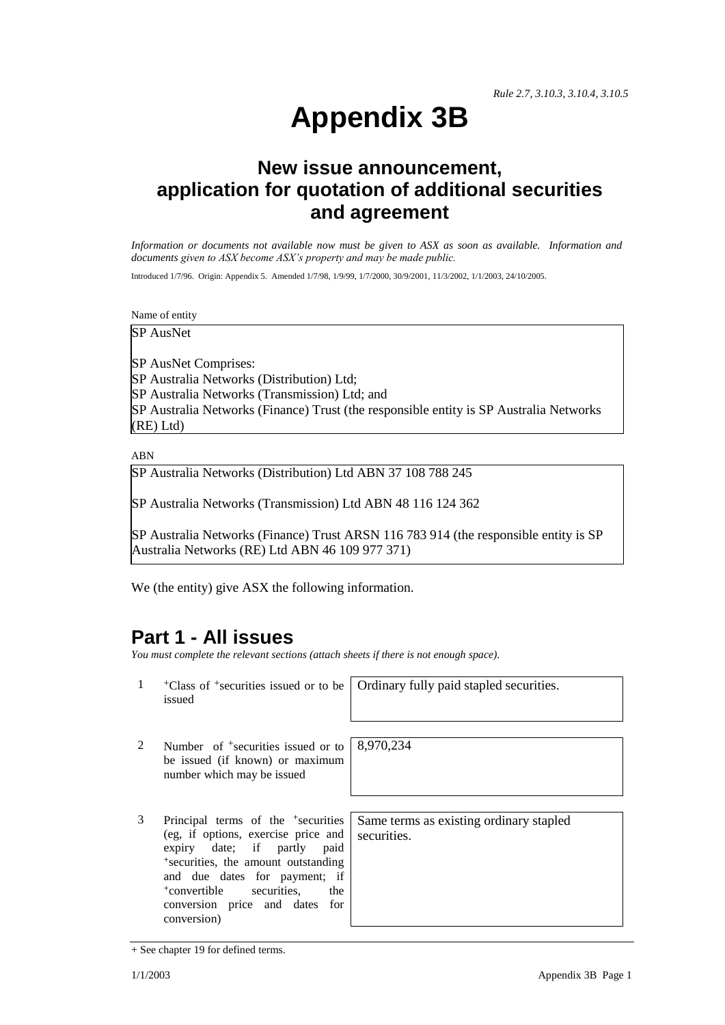# **Appendix 3B**

## **New issue announcement, application for quotation of additional securities and agreement**

*Information or documents not available now must be given to ASX as soon as available. Information and documents given to ASX become ASX's property and may be made public.*

Introduced 1/7/96. Origin: Appendix 5. Amended 1/7/98, 1/9/99, 1/7/2000, 30/9/2001, 11/3/2002, 1/1/2003, 24/10/2005.

Name of entity

SP AusNet

SP AusNet Comprises: SP Australia Networks (Distribution) Ltd; SP Australia Networks (Transmission) Ltd; and SP Australia Networks (Finance) Trust (the responsible entity is SP Australia Networks (RE) Ltd)

ABN

SP Australia Networks (Distribution) Ltd ABN 37 108 788 245

SP Australia Networks (Transmission) Ltd ABN 48 116 124 362

SP Australia Networks (Finance) Trust ARSN 116 783 914 (the responsible entity is SP Australia Networks (RE) Ltd ABN 46 109 977 371)

We (the entity) give ASX the following information.

#### **Part 1 - All issues**

*You must complete the relevant sections (attach sheets if there is not enough space).*

1 +Class of +securities issued or to be issued

Ordinary fully paid stapled securities.

- 2 Number of <sup>+</sup>securities issued or to be issued (if known) or maximum number which may be issued
- 3 Principal terms of the <sup>+</sup>securities (eg, if options, exercise price and expiry date; if partly paid <sup>+</sup>securities, the amount outstanding and due dates for payment; if <sup>+</sup>convertible securities, the conversion price and dates for conversion)

8,970,234

Same terms as existing ordinary stapled securities.

<sup>+</sup> See chapter 19 for defined terms.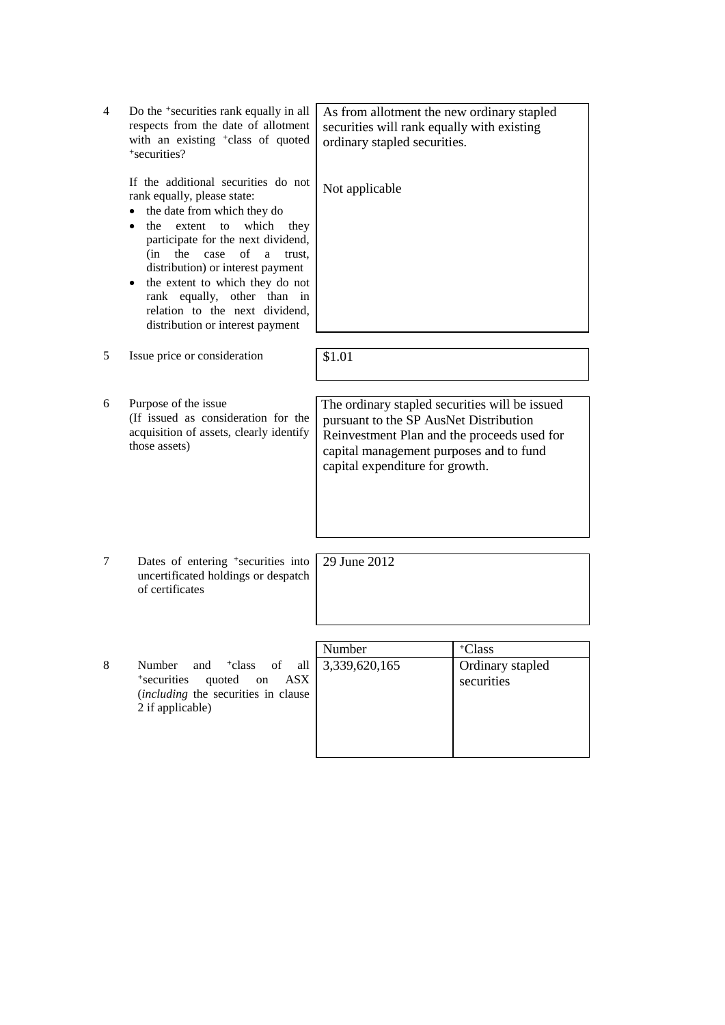| 4 | Do the <sup>+</sup> securities rank equally in all<br>respects from the date of allotment<br>with an existing <sup>+</sup> class of quoted<br>*securities?                                                                                                                                                                                                                                          | As from allotment the new ordinary stapled<br>securities will rank equally with existing<br>ordinary stapled securities.                                                                                              |                                |
|---|-----------------------------------------------------------------------------------------------------------------------------------------------------------------------------------------------------------------------------------------------------------------------------------------------------------------------------------------------------------------------------------------------------|-----------------------------------------------------------------------------------------------------------------------------------------------------------------------------------------------------------------------|--------------------------------|
|   | If the additional securities do not<br>rank equally, please state:<br>the date from which they do<br>which<br>extent to<br>the<br>they<br>participate for the next dividend,<br>$(in$ the<br>of<br>case<br>a<br>trust,<br>distribution) or interest payment<br>the extent to which they do not<br>rank equally, other than in<br>relation to the next dividend,<br>distribution or interest payment | Not applicable                                                                                                                                                                                                        |                                |
| 5 | Issue price or consideration                                                                                                                                                                                                                                                                                                                                                                        | \$1.01                                                                                                                                                                                                                |                                |
|   |                                                                                                                                                                                                                                                                                                                                                                                                     |                                                                                                                                                                                                                       |                                |
| 6 | Purpose of the issue<br>(If issued as consideration for the<br>acquisition of assets, clearly identify<br>those assets)                                                                                                                                                                                                                                                                             | The ordinary stapled securities will be issued<br>pursuant to the SP AusNet Distribution<br>Reinvestment Plan and the proceeds used for<br>capital management purposes and to fund<br>capital expenditure for growth. |                                |
|   |                                                                                                                                                                                                                                                                                                                                                                                                     |                                                                                                                                                                                                                       |                                |
| 7 | Dates of entering <sup>+</sup> securities into<br>uncertificated holdings or despatch<br>of certificates                                                                                                                                                                                                                                                                                            | 29 June 2012                                                                                                                                                                                                          |                                |
|   |                                                                                                                                                                                                                                                                                                                                                                                                     |                                                                                                                                                                                                                       |                                |
|   |                                                                                                                                                                                                                                                                                                                                                                                                     | Number                                                                                                                                                                                                                | <sup>+</sup> Class             |
| 8 | Number<br><sup>+</sup> class<br>and<br>of<br>all<br>*securities<br><b>ASX</b><br>quoted<br>on<br>(including the securities in clause<br>2 if applicable)                                                                                                                                                                                                                                            | 3,339,620,165                                                                                                                                                                                                         | Ordinary stapled<br>securities |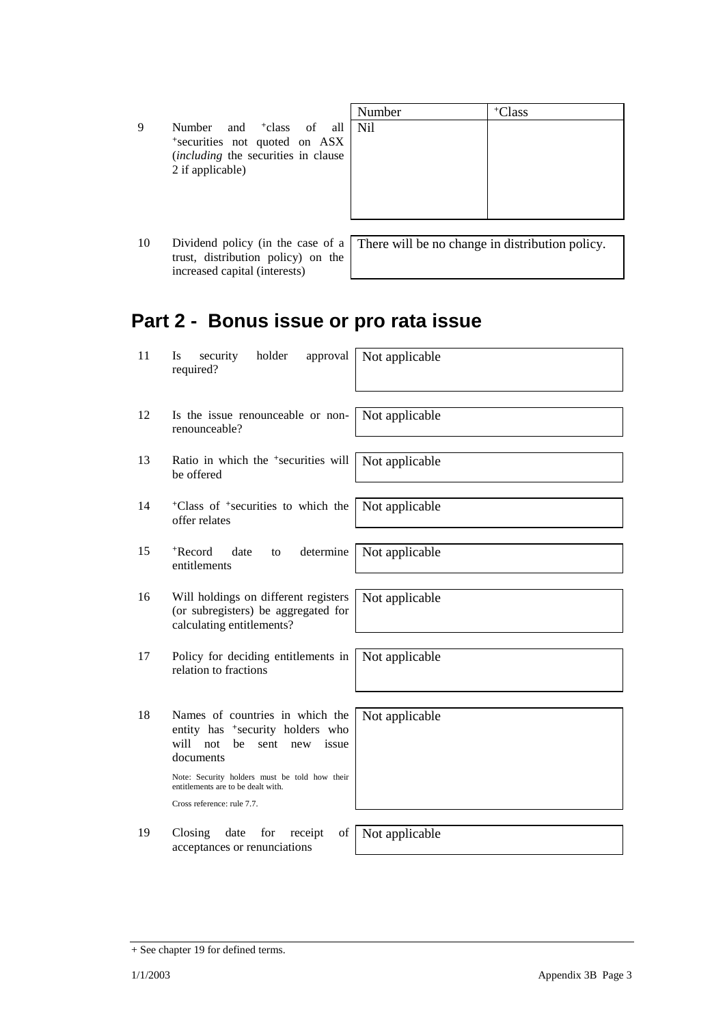|  |                  |  | Number                                                                       | <sup>+</sup> Class                         |
|--|------------------|--|------------------------------------------------------------------------------|--------------------------------------------|
|  |                  |  |                                                                              |                                            |
|  |                  |  |                                                                              |                                            |
|  |                  |  |                                                                              |                                            |
|  |                  |  |                                                                              |                                            |
|  | 2 if applicable) |  | *securities not quoted on ASX<br><i>(including the securities in clause)</i> | Number and <sup>+</sup> class of all   Nil |

10 Dividend policy (in the case of a trust, distribution policy) on the increased capital (interests)

There will be no change in distribution policy.

## **Part 2 - Bonus issue or pro rata issue**

| 11 | holder<br>security<br>approval<br>Is<br>required?                                                                                         | Not applicable |
|----|-------------------------------------------------------------------------------------------------------------------------------------------|----------------|
| 12 | Is the issue renounceable or non-<br>renounceable?                                                                                        | Not applicable |
| 13 | Ratio in which the <sup>+</sup> securities will<br>be offered                                                                             | Not applicable |
| 14 | <sup>+</sup> Class of <sup>+</sup> securities to which the<br>offer relates                                                               | Not applicable |
| 15 | <sup>+</sup> Record<br>determine<br>date<br>to<br>entitlements                                                                            | Not applicable |
| 16 | Will holdings on different registers<br>(or subregisters) be aggregated for<br>calculating entitlements?                                  | Not applicable |
| 17 | Policy for deciding entitlements in<br>relation to fractions                                                                              | Not applicable |
| 18 | Names of countries in which the<br>entity has <sup>+</sup> security holders who<br>will<br>not<br>be<br>sent<br>issue<br>new<br>documents | Not applicable |
|    | Note: Security holders must be told how their<br>entitlements are to be dealt with.                                                       |                |
|    | Cross reference: rule 7.7.                                                                                                                |                |
| 19 | Closing<br>date<br>for<br>receipt<br>of<br>acceptances or renunciations                                                                   | Not applicable |

<sup>+</sup> See chapter 19 for defined terms.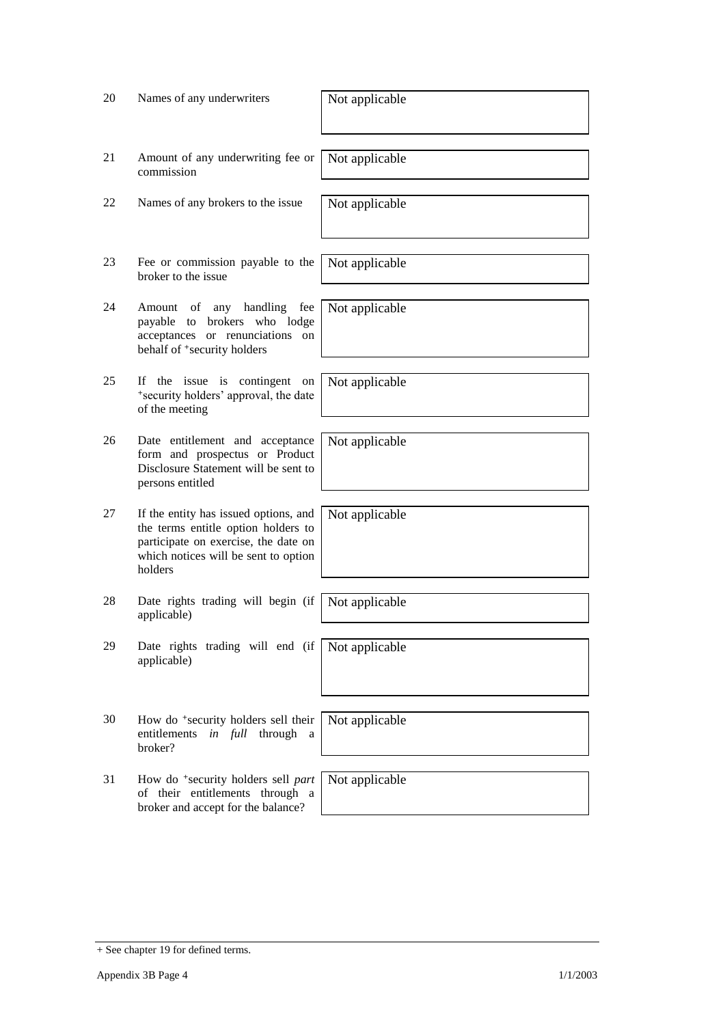| 20 | Names of any underwriters                                                                                                                                               | Not applicable |
|----|-------------------------------------------------------------------------------------------------------------------------------------------------------------------------|----------------|
| 21 | Amount of any underwriting fee or<br>commission                                                                                                                         | Not applicable |
| 22 | Names of any brokers to the issue                                                                                                                                       | Not applicable |
| 23 | Fee or commission payable to the<br>broker to the issue                                                                                                                 | Not applicable |
| 24 | any handling<br>Amount of<br>fee<br>brokers who lodge<br>payable to<br>acceptances or renunciations on<br>behalf of <sup>+</sup> security holders                       | Not applicable |
| 25 | If the issue is contingent<br>on<br>*security holders' approval, the date<br>of the meeting                                                                             | Not applicable |
| 26 | Date entitlement and acceptance<br>form and prospectus or Product<br>Disclosure Statement will be sent to<br>persons entitled                                           | Not applicable |
| 27 | If the entity has issued options, and<br>the terms entitle option holders to<br>participate on exercise, the date on<br>which notices will be sent to option<br>holders | Not applicable |
| 28 | Date rights trading will begin (if<br>applicable)                                                                                                                       | Not applicable |
| 29 | Date rights trading will end (if<br>applicable)                                                                                                                         | Not applicable |
| 30 | How do <sup>+</sup> security holders sell their<br>in full through<br>entitlements<br>a<br>broker?                                                                      | Not applicable |
| 31 | How do <sup>+</sup> security holders sell part<br>of their entitlements through a<br>broker and accept for the balance?                                                 | Not applicable |

<sup>+</sup> See chapter 19 for defined terms.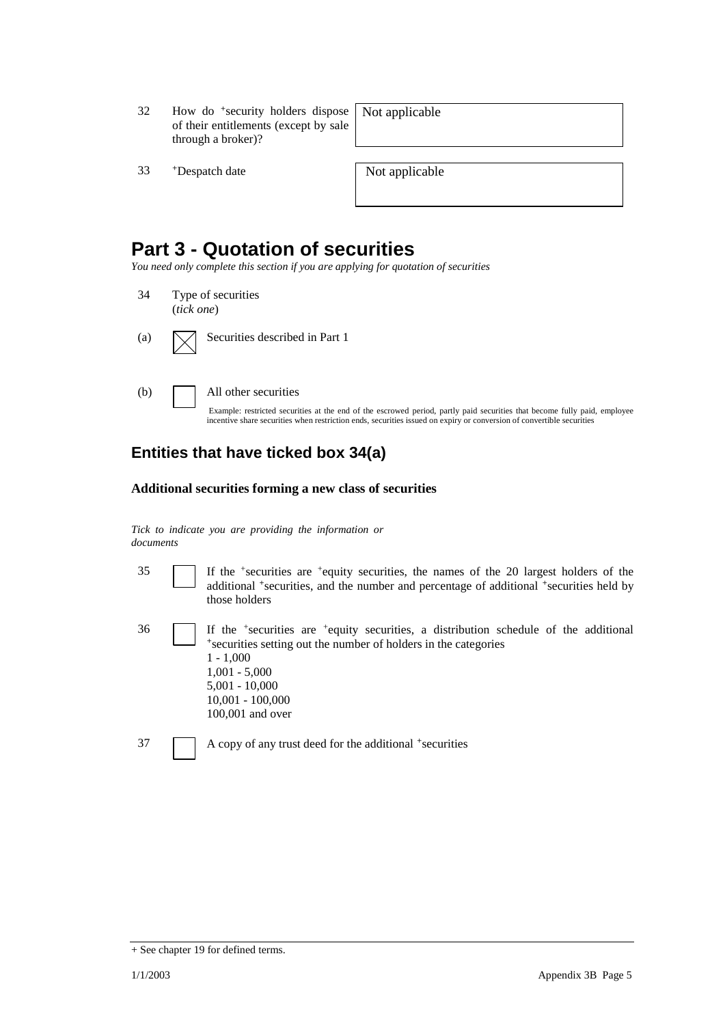32 How do <sup>+</sup>security holders dispose of their entitlements (except by sale through a broker)?

Not applicable

33 +Despatch date Not applicable

### **Part 3 - Quotation of securities**

*You need only complete this section if you are applying for quotation of securities*

- 34 Type of securities (*tick one*)
- (a)  $\Box$  Securities described in Part 1
- 

(b) All other securities

Example: restricted securities at the end of the escrowed period, partly paid securities that become fully paid, employee incentive share securities when restriction ends, securities issued on expiry or conversion of convertible securities

#### **Entities that have ticked box 34(a)**

#### **Additional securities forming a new class of securities**

*Tick to indicate you are providing the information or documents*

- 35 If the <sup>+</sup> securities are <sup>+</sup>equity securities, the names of the 20 largest holders of the additional <sup>+</sup>securities, and the number and percentage of additional <sup>+</sup>securities held by those holders
- 36 If the <sup>+</sup> securities are <sup>+</sup>equity securities, a distribution schedule of the additional <sup>+</sup>securities setting out the number of holders in the categories 1 - 1,000 1,001 - 5,000 5,001 - 10,000 10,001 - 100,000 100,001 and over
- 37 A copy of any trust deed for the additional <sup>+</sup>securities

<sup>+</sup> See chapter 19 for defined terms.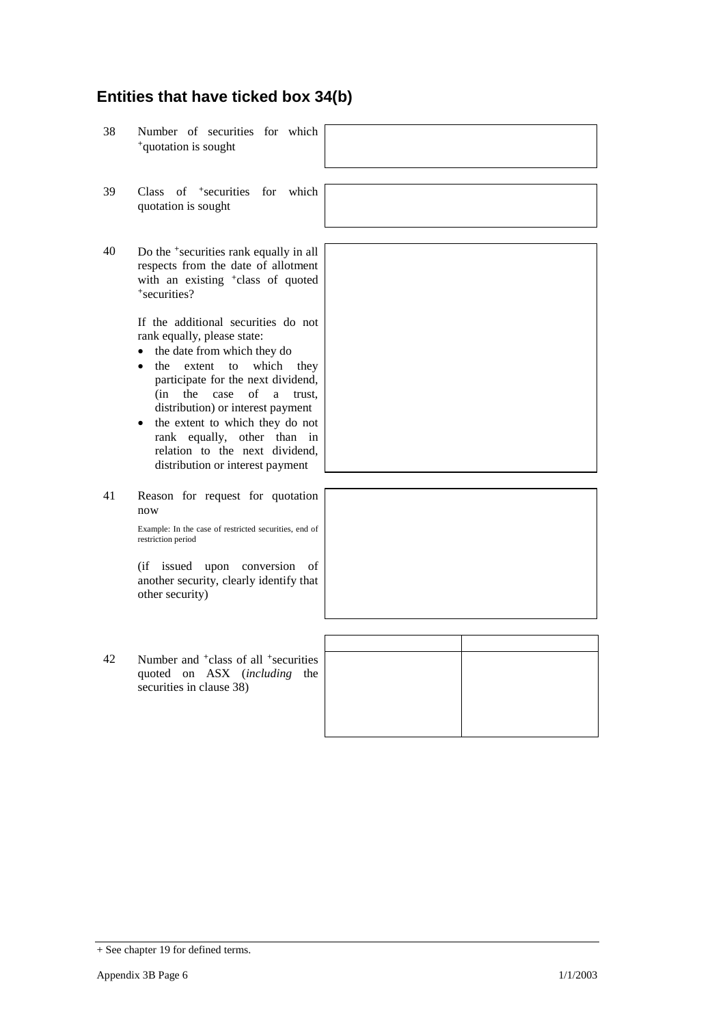#### **Entities that have ticked box 34(b)**

- 38 Number of securities for which <sup>+</sup>quotation is sought
- 39 Class of <sup>+</sup>securities for which quotation is sought
- 40 Do the <sup>+</sup>securities rank equally in all respects from the date of allotment with an existing <sup>+</sup>class of quoted <sup>+</sup>securities?

If the additional securities do not rank equally, please state:

- the date from which they do
- the extent to which they participate for the next dividend, (in the case of a trust, distribution) or interest payment
- the extent to which they do not rank equally, other than in relation to the next dividend, distribution or interest payment
- 41 Reason for request for quotation now

Example: In the case of restricted securities, end of restriction period

(if issued upon conversion of another security, clearly identify the other security)

42 Number and <sup>+</sup>class of all <sup>+</sup>securities quoted on ASX (*including* securities in clause 38)





| that        |  |
|-------------|--|
|             |  |
| ties<br>the |  |

<sup>+</sup> See chapter 19 for defined terms.